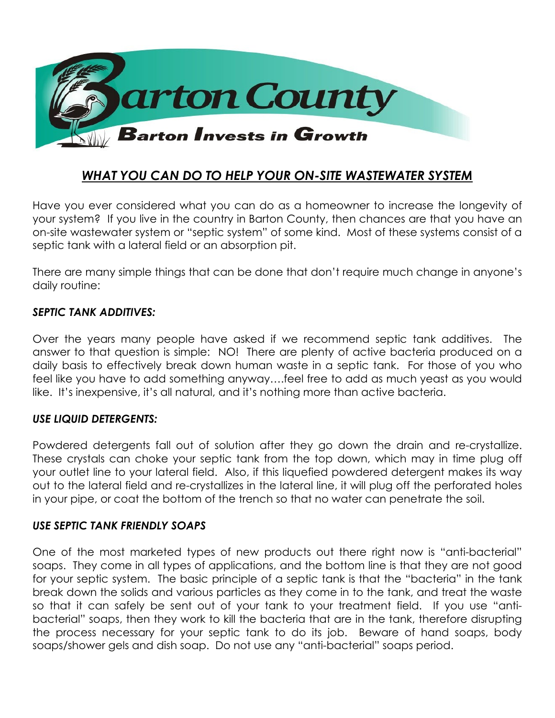

# *WHAT YOU CAN DO TO HELP YOUR ON-SITE WASTEWATER SYSTEM*

Have you ever considered what you can do as a homeowner to increase the longevity of your system? If you live in the country in Barton County, then chances are that you have an on-site wastewater system or "septic system" of some kind. Most of these systems consist of a septic tank with a lateral field or an absorption pit.

There are many simple things that can be done that don't require much change in anyone's daily routine:

#### *SEPTIC TANK ADDITIVES:*

Over the years many people have asked if we recommend septic tank additives. The answer to that question is simple: NO! There are plenty of active bacteria produced on a daily basis to effectively break down human waste in a septic tank. For those of you who feel like you have to add something anyway….feel free to add as much yeast as you would like. It's inexpensive, it's all natural, and it's nothing more than active bacteria.

#### *USE LIQUID DETERGENTS:*

Powdered detergents fall out of solution after they go down the drain and re-crystallize. These crystals can choke your septic tank from the top down, which may in time plug off your outlet line to your lateral field. Also, if this liquefied powdered detergent makes its way out to the lateral field and re-crystallizes in the lateral line, it will plug off the perforated holes in your pipe, or coat the bottom of the trench so that no water can penetrate the soil.

#### *USE SEPTIC TANK FRIENDLY SOAPS*

One of the most marketed types of new products out there right now is "anti-bacterial" soaps. They come in all types of applications, and the bottom line is that they are not good for your septic system. The basic principle of a septic tank is that the "bacteria" in the tank break down the solids and various particles as they come in to the tank, and treat the waste so that it can safely be sent out of your tank to your treatment field. If you use "antibacterial" soaps, then they work to kill the bacteria that are in the tank, therefore disrupting the process necessary for your septic tank to do its job. Beware of hand soaps, body soaps/shower gels and dish soap. Do not use any "anti-bacterial" soaps period.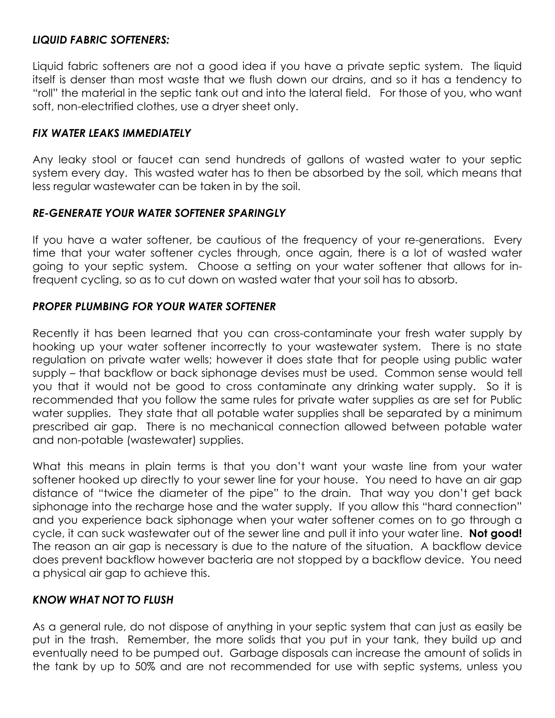## *LIQUID FABRIC SOFTENERS:*

Liquid fabric softeners are not a good idea if you have a private septic system. The liquid itself is denser than most waste that we flush down our drains, and so it has a tendency to "roll" the material in the septic tank out and into the lateral field. For those of you, who want soft, non-electrified clothes, use a dryer sheet only.

## *FIX WATER LEAKS IMMEDIATELY*

Any leaky stool or faucet can send hundreds of gallons of wasted water to your septic system every day. This wasted water has to then be absorbed by the soil, which means that less regular wastewater can be taken in by the soil.

### *RE-GENERATE YOUR WATER SOFTENER SPARINGLY*

If you have a water softener, be cautious of the frequency of your re-generations. Every time that your water softener cycles through, once again, there is a lot of wasted water going to your septic system. Choose a setting on your water softener that allows for infrequent cycling, so as to cut down on wasted water that your soil has to absorb.

# *PROPER PLUMBING FOR YOUR WATER SOFTENER*

Recently it has been learned that you can cross-contaminate your fresh water supply by hooking up your water softener incorrectly to your wastewater system. There is no state regulation on private water wells; however it does state that for people using public water supply – that backflow or back siphonage devises must be used. Common sense would tell you that it would not be good to cross contaminate any drinking water supply. So it is recommended that you follow the same rules for private water supplies as are set for Public water supplies. They state that all potable water supplies shall be separated by a minimum prescribed air gap. There is no mechanical connection allowed between potable water and non-potable (wastewater) supplies.

What this means in plain terms is that you don't want your waste line from your water softener hooked up directly to your sewer line for your house. You need to have an air gap distance of "twice the diameter of the pipe" to the drain. That way you don't get back siphonage into the recharge hose and the water supply. If you allow this "hard connection" and you experience back siphonage when your water softener comes on to go through a cycle, it can suck wastewater out of the sewer line and pull it into your water line. **Not good!** The reason an air gap is necessary is due to the nature of the situation. A backflow device does prevent backflow however bacteria are not stopped by a backflow device. You need a physical air gap to achieve this.

### *KNOW WHAT NOT TO FLUSH*

As a general rule, do not dispose of anything in your septic system that can just as easily be put in the trash. Remember, the more solids that you put in your tank, they build up and eventually need to be pumped out. Garbage disposals can increase the amount of solids in the tank by up to 50% and are not recommended for use with septic systems, unless you